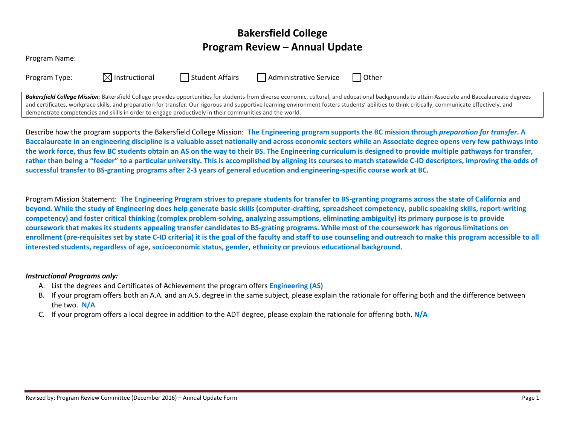# **Bakersfield College Program Review – Annual Update**

| Program Name: |  |
|---------------|--|
|---------------|--|

| Program Type: |  |
|---------------|--|
|---------------|--|

 $\boxtimes$  Instructional  $\Box$  Student Affairs  $\Box$  Administrative Service  $\Box$  Other

Bakersfield College Mission: Bakersfield College provides opportunities for students from diverse economic, cultural, and educational backgrounds to attain Associate and Baccalaureate degrees and certificates, workplace skills, and preparation for transfer. Our rigorous and supportive learning environment fosters students' abilities to think critically, communicate effectively, and demonstrate competencies and skills in order to engage productively in their communities and the world.

Describe how the program supports the Bakersfield College Mission: **The Engineering program supports the BC mission through** *preparation for transfer***. A Baccalaureate in an engineering discipline is a valuable asset nationally and across economic sectors while an Associate degree opens very few pathways into the work force, thus few BC students obtain an AS on the way to their BS. The Engineering curriculum is designed to provide multiple pathways for transfer, rather than being a "feeder" to a particular university. This is accomplished by aligning its courses to match statewide C-ID descriptors, improving the odds of successful transfer to BS-granting programs after 2-3 years of general education and engineering-specific course work at BC.**

Program Mission Statement: **The Engineering Program strives to prepare students for transfer to BS-granting programs across the state of California and beyond. While the study of Engineering does help generate basic skills (computer-drafting, spreadsheet competency, public speaking skills, report-writing competency) and foster critical thinking (complex problem-solving, analyzing assumptions, eliminating ambiguity) its primary purpose is to provide coursework that makes its students appealing transfer candidates to BS-grating programs. While most of the coursework has rigorous limitations on enrollment (pre-requisites set by state C-ID criteria) it is the goal of the faculty and staff to use counseling and outreach to make this program accessible to all interested students, regardless of age, socioeconomic status, gender, ethnicity or previous educational background.**

## *Instructional Programs only:*

- A. List the degrees and Certificates of Achievement the program offers **Engineering (AS)**
- B. If your program offers both an A.A. and an A.S. degree in the same subject, please explain the rationale for offering both and the difference between the two. **N/A**
- C. If your program offers a local degree in addition to the ADT degree, please explain the rationale for offering both. **N/A**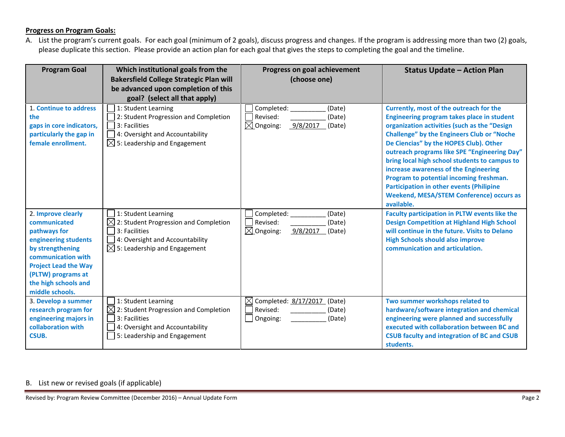## **Progress on Program Goals:**

A. List the program's current goals. For each goal (minimum of 2 goals), discuss progress and changes. If the program is addressing more than two (2) goals, please duplicate this section. Please provide an action plan for each goal that gives the steps to completing the goal and the timeline.

| <b>Program Goal</b>                                                                                                                                                                                                  | Which institutional goals from the<br><b>Bakersfield College Strategic Plan will</b><br>be advanced upon completion of this<br>goal? (select all that apply) | Progress on goal achievement<br>(choose one)                                             | <b>Status Update - Action Plan</b>                                                                                                                                                                                                                                                                                                                                                                                                                                                                                                            |
|----------------------------------------------------------------------------------------------------------------------------------------------------------------------------------------------------------------------|--------------------------------------------------------------------------------------------------------------------------------------------------------------|------------------------------------------------------------------------------------------|-----------------------------------------------------------------------------------------------------------------------------------------------------------------------------------------------------------------------------------------------------------------------------------------------------------------------------------------------------------------------------------------------------------------------------------------------------------------------------------------------------------------------------------------------|
| 1. Continue to address<br>the<br>gaps in core indicators,<br>particularly the gap in<br>female enrollment.                                                                                                           | 1: Student Learning<br>2: Student Progression and Completion<br>3: Facilities<br>4: Oversight and Accountability<br>$\boxtimes$ 5: Leadership and Engagement | Completed:<br>(Date)<br>Revised:<br>(Date)<br>$\boxtimes$ Ongoing:<br>9/8/2017<br>(Date) | Currently, most of the outreach for the<br>Engineering program takes place in student<br>organization activities (such as the "Design<br><b>Challenge" by the Engineers Club or "Noche</b><br>De Ciencias" by the HOPES Club). Other<br>outreach programs like SPE "Engineering Day"<br>bring local high school students to campus to<br>increase awareness of the Engineering<br>Program to potential incoming freshman.<br><b>Participation in other events (Philipine</b><br><b>Weekend, MESA/STEM Conference) occurs as</b><br>available. |
| 2. Improve clearly<br>communicated<br>pathways for<br>engineering students<br>by strengthening<br>communication with<br><b>Project Lead the Way</b><br>(PLTW) programs at<br>the high schools and<br>middle schools. | 1: Student Learning<br>2: Student Progression and Completion<br>3: Facilities<br>4: Oversight and Accountability<br>$\boxtimes$ 5: Leadership and Engagement | Completed:<br>(Date)<br>Revised:<br>(Date)<br>$\boxtimes$ Ongoing:<br>9/8/2017<br>(Date) | <b>Faculty participation in PLTW events like the</b><br><b>Design Competition at Highland High School</b><br>will continue in the future. Visits to Delano<br><b>High Schools should also improve</b><br>communication and articulation.                                                                                                                                                                                                                                                                                                      |
| 3. Develop a summer<br>research program for<br>engineering majors in<br>collaboration with<br><b>CSUB.</b>                                                                                                           | 1: Student Learning<br>$\boxtimes$ 2: Student Progression and Completion<br>3: Facilities<br>4: Oversight and Accountability<br>5: Leadership and Engagement | Completed: 8/17/2017 (Date)<br>⊠<br>Revised:<br>(Date)<br>(Date)<br>Ongoing:             | Two summer workshops related to<br>hardware/software integration and chemical<br>engineering were planned and successfully<br>executed with collaboration between BC and<br><b>CSUB faculty and integration of BC and CSUB</b><br>students.                                                                                                                                                                                                                                                                                                   |

## B. List new or revised goals (if applicable)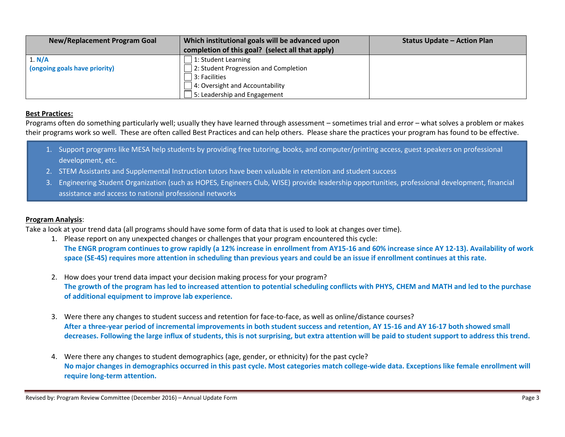| <b>New/Replacement Program Goal</b> | Which institutional goals will be advanced upon  | <b>Status Update - Action Plan</b> |
|-------------------------------------|--------------------------------------------------|------------------------------------|
|                                     | completion of this goal? (select all that apply) |                                    |
| 1. N/A                              | 1: Student Learning                              |                                    |
| (ongoing goals have priority)       | 2: Student Progression and Completion            |                                    |
|                                     | 3: Facilities                                    |                                    |
|                                     | 4: Oversight and Accountability                  |                                    |
|                                     | 5: Leadership and Engagement                     |                                    |

### **Best Practices:**

Programs often do something particularly well; usually they have learned through assessment – sometimes trial and error – what solves a problem or makes their programs work so well. These are often called Best Practices and can help others. Please share the practices your program has found to be effective.

- 1. Support programs like MESA help students by providing free tutoring, books, and computer/printing access, guest speakers on professional development, etc.
- 2. STEM Assistants and Supplemental Instruction tutors have been valuable in retention and student success
- 3. Engineering Student Organization (such as HOPES, Engineers Club, WISE) provide leadership opportunities, professional development, financial assistance and access to national professional networks

## **Program Analysis**:

Take a look at your trend data (all programs should have some form of data that is used to look at changes over time).

- 1. Please report on any unexpected changes or challenges that your program encountered this cycle: **The ENGR program continues to grow rapidly (a 12% increase in enrollment from AY15-16 and 60% increase since AY 12-13). Availability of work space (SE-45) requires more attention in scheduling than previous years and could be an issue if enrollment continues at this rate.**
- 2. How does your trend data impact your decision making process for your program? **The growth of the program has led to increased attention to potential scheduling conflicts with PHYS, CHEM and MATH and led to the purchase of additional equipment to improve lab experience.**
- 3. Were there any changes to student success and retention for face-to-face, as well as online/distance courses? **After a three-year period of incremental improvements in both student success and retention, AY 15-16 and AY 16-17 both showed small decreases. Following the large influx of students, this is not surprising, but extra attention will be paid to student support to address this trend.**
- 4. Were there any changes to student demographics (age, gender, or ethnicity) for the past cycle? **No major changes in demographics occurred in this past cycle. Most categories match college-wide data. Exceptions like female enrollment will require long-term attention.**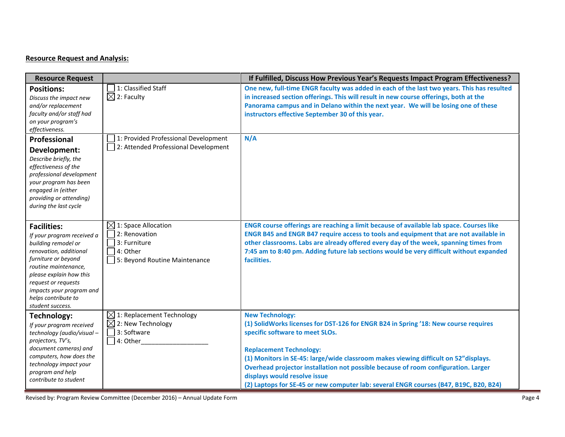## **Resource Request and Analysis:**

| <b>Resource Request</b>                                                                                                                                                                                                                                                   |                                                                                                               | If Fulfilled, Discuss How Previous Year's Requests Impact Program Effectiveness?                                                                                                                                                                                                                                                                                                                                                                                                          |
|---------------------------------------------------------------------------------------------------------------------------------------------------------------------------------------------------------------------------------------------------------------------------|---------------------------------------------------------------------------------------------------------------|-------------------------------------------------------------------------------------------------------------------------------------------------------------------------------------------------------------------------------------------------------------------------------------------------------------------------------------------------------------------------------------------------------------------------------------------------------------------------------------------|
| <b>Positions:</b><br>Discuss the impact new<br>and/or replacement<br>faculty and/or staff had<br>on your program's<br>effectiveness.                                                                                                                                      | 1: Classified Staff<br>$\boxtimes$ 2: Faculty                                                                 | One new, full-time ENGR faculty was added in each of the last two years. This has resulted<br>in increased section offerings. This will result in new course offerings, both at the<br>Panorama campus and in Delano within the next year. We will be losing one of these<br>instructors effective September 30 of this year.                                                                                                                                                             |
| Professional                                                                                                                                                                                                                                                              | 1: Provided Professional Development                                                                          | N/A                                                                                                                                                                                                                                                                                                                                                                                                                                                                                       |
| Development:<br>Describe briefly, the<br>effectiveness of the<br>professional development<br>your program has been<br>engaged in (either<br>providing or attending)<br>during the last cycle                                                                              | 2: Attended Professional Development                                                                          |                                                                                                                                                                                                                                                                                                                                                                                                                                                                                           |
| <b>Facilities:</b><br>If your program received a<br>building remodel or<br>renovation, additional<br>furniture or beyond<br>routine maintenance,<br>please explain how this<br>request or requests<br>impacts your program and<br>helps contribute to<br>student success. | $\boxtimes$ 1: Space Allocation<br>2: Renovation<br>3: Furniture<br>4: Other<br>5: Beyond Routine Maintenance | ENGR course offerings are reaching a limit because of available lab space. Courses like<br>ENGR B45 and ENGR B47 require access to tools and equipment that are not available in<br>other classrooms. Labs are already offered every day of the week, spanning times from<br>7:45 am to 8:40 pm. Adding future lab sections would be very difficult without expanded<br>facilities.                                                                                                       |
| <b>Technology:</b><br>If your program received<br>technology (audio/visual-<br>projectors, TV's,<br>document cameras) and<br>computers, how does the<br>technology impact your<br>program and help<br>contribute to student                                               | $\boxtimes$ 1: Replacement Technology<br>$\boxtimes$ 2: New Technology<br>3: Software<br>4: Other             | <b>New Technology:</b><br>(1) SolidWorks licenses for DST-126 for ENGR B24 in Spring '18: New course requires<br>specific software to meet SLOs.<br><b>Replacement Technology:</b><br>(1) Monitors in SE-45: large/wide classroom makes viewing difficult on 52" displays.<br>Overhead projector installation not possible because of room configuration. Larger<br>displays would resolve issue<br>(2) Laptops for SE-45 or new computer lab: several ENGR courses (B47, B19C, B20, B24) |

Revised by: Program Review Committee (December 2016) – Annual Update Form **Page 4**